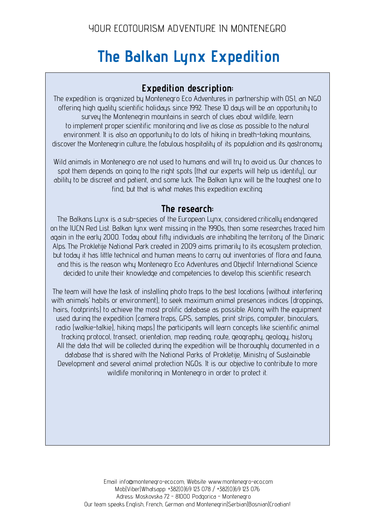# **The Balkan Lynx Expedition**

# **Expedition description:**

The expedition is organized by Montenegro Eco Adventures in partnership with OSI, an NGO offering high quality scientific holidays since 1992. These 10 days will be an opportunity to survey the Montenegrin mountains in search of clues about wildlife, learn to implement proper scientific monitoring and live as close as possible to the natural environment. It is also an opportunity to do lots of hiking in breath-taking mountains, discover the Montenegrin culture, the fabulous hospitality of its population and its gastronomy.

Wild animals in Montenegro are not used to humans and will try to avoid us. Our chances to spot them depends on going to the right spots (that our experts will help us identify), our ability to be discreet and patient, and some luck. The Balkan lynx will be the toughest one to find, but that is what makes this expedition exciting.

### **The research:**

The Balkans Lynx is a sub-species of the European Lynx, considered critically endangered on the IUCN Red List. Balkan lynx went missing in the 1990s, then some researches traced him again in the early 2000. Today about fifty individuals are inhabiting the territory of the Dinaric Alps. The Prokletije National Park created in 2009 aims primarily to its ecosystem protection, but today it has little technical and human means to carry out inventories of flora and fauna, and this is the reason why Montenegro Eco Adventures and Objectif International Science decided to unite their knowledge and competencies to develop this scientific research.

The team will have the task of installing photo traps to the best locations (without interfering with animals' habits or environment), to seek maximum animal presences indices (droppings, hairs, footprints) to achieve the most prolific database as possible. Along with the equipment used during the expedition (camera traps, GPS, samples, print strips, computer, binoculars, radio (walkie-talkie), hiking maps) the participants will learn concepts like scientific animal tracking protocol, transect, orientation, map reading, route, geography, geology, history. All the data that will be collected during the expedition will be thoroughly documented in a database that is shared with the National Parks of Prokletije, Ministry of Sustainable Development and several animal protection NGOs. It is our objective to contribute to more wildlife monitoring in Montenegro in order to protect it.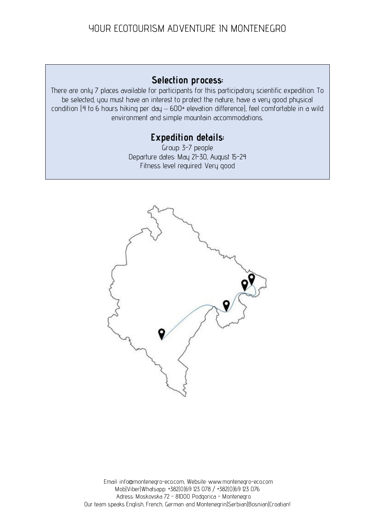## **Selection process:**

There are only 7 places available for participants for this participatory scientific expedition. To be selected, you must have an interest to protect the nature, have a very good physical condition (4 to 6 hours hiking per day – 600+ elevation difference), feel comfortable in a wild environment and simple mountain accommodations.

## **Expedition details:**

Group: 3-7 people Departure dates: May 21-30, August 15-24 Fitness level required: Very good

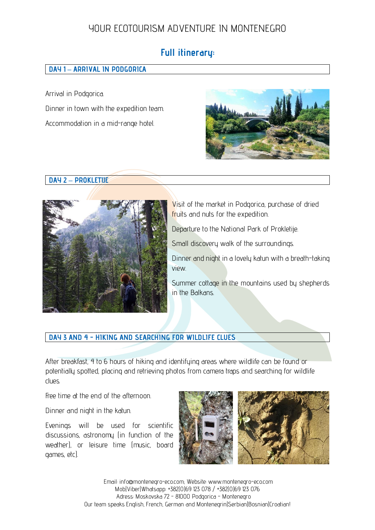# **Full itinerary:**

#### **DAY 1 – ARRIVAL IN PODGORICA**

Arrival in Podgorica. Dinner in town with the expedition team. Accommodation in a mid-range hotel.



#### **DAY 2 – PROKLETIJE**



Visit of the market in Podgorica, purchase of dried fruits and nuts for the expedition.

Departure to the National Park of Prokletije.

Small discovery walk of the surroundings.

Dinner and night in a lovely katun with a breath-taking view.

Summer cottage in the mountains used by shepherds in the Balkans.

#### **DAY 3 AND 4 - HIKING AND SEARCHING FOR WILDLIFE CLUES**

After breakfast, 4 to 6 hours of hiking and identifying areas where wildlife can be found or potentially spotted, placing and retrieving photos from camera traps and searching for wildlife clues.

Free time at the end of the afternoon.

Dinner and night in the katun.

Evenings will be used for scientific discussions, astronomy (in function of the weather), or leisure time (music, board games, etc).

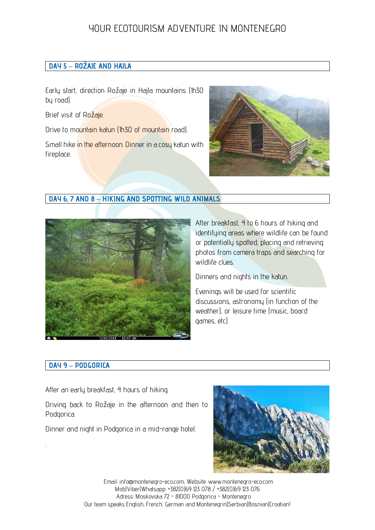#### **DAY 5 – ROŽAJE AND HAJLA**

Early start, direction Rožaje in Hajla mountains (1h30 by road).

Brief visit of Rožaje.

Drive to mountain katun (1h30 of mountain road).

Small hike in the afternoon. Dinner in a cosy katun with fireplace.



#### **DAY 6, 7 AND 8 – HIKING AND SPOTTING WILD ANIMALS**



After breakfast, 4 to 6 hours of hiking and identifying areas where wildlife can be found or potentially spotted, placing and retrieving photos from camera traps and searching for wildlife clues.

Dinners and nights in the katun.

Evenings will be used for scientific discussions, astronomy (in function of the weather), or leisure time (music, board games, etc).

#### **DAY 9 – PODGORICA**

.

After an early breakfast, 4 hours of hiking.

Driving back to Rožaje in the afternoon and then to Podgorica.

Dinner and night in Podgorica in a mid-range hotel.

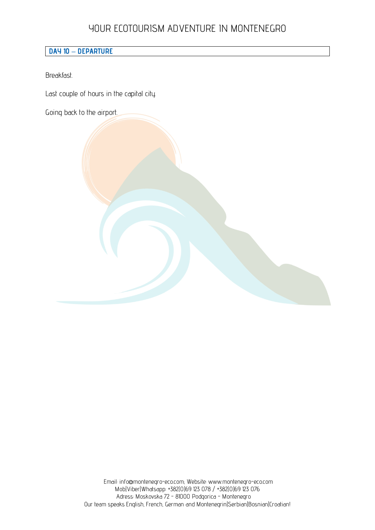#### **DAY 10 – DEPARTURE**

Breakfast.

Last couple of hours in the capital city.

Going back to the airport.

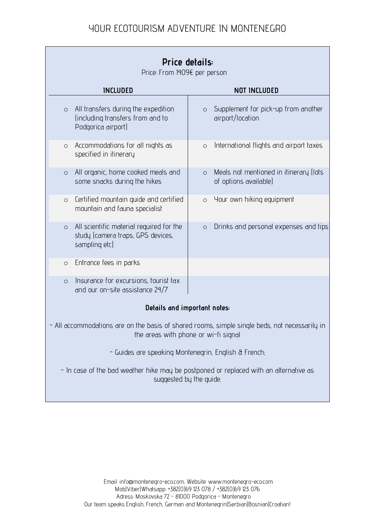| Price details:<br>Price: From 1409€ per person                                                                                      |                                                                            |
|-------------------------------------------------------------------------------------------------------------------------------------|----------------------------------------------------------------------------|
| <b>INCLUDED</b>                                                                                                                     | <b>NOT INCLUDED</b>                                                        |
| All transfers during the expedition<br>$\circ$<br>(including transfers from and to<br>Podgorica airport)                            | Supplement for pick-up from another<br>$\circ$<br>airport/location         |
| Accommodations for all nights as<br>$\circ$<br>specified in itinerary                                                               | International flights and airport taxes<br>$\circ$                         |
| All organic, home cooked meals and<br>$\circ$<br>some snacks during the hikes                                                       | Meals not mentioned in itinerary (lots<br>$\circ$<br>of options available) |
| Certified mountain guide and certified<br>$\circ$<br>mountain and fauna specialist                                                  | Your own hiking equipment<br>$\circ$                                       |
| All scientific material required for the<br>$\circ$<br>study (camera traps, GPS devices,<br>sampling etc)                           | Drinks and personal expenses and tips<br>$\circ$                           |
| Entrance fees in parks<br>$\circ$                                                                                                   |                                                                            |
| Insurance for excursions, tourist tax<br>$\circ$<br>and our on-site assistance 24/7                                                 |                                                                            |
| Details and important notes:                                                                                                        |                                                                            |
| All accommodations are on the basis of shared rooms, simple single beds, not necessarily in<br>the areas with phone or wi-fi signal |                                                                            |
| - Guides are speaking Montenegrin, English & French;                                                                                |                                                                            |
| - In case of the bad weather hike may be postponed or replaced with an alternative as<br>suggested by the guide.                    |                                                                            |